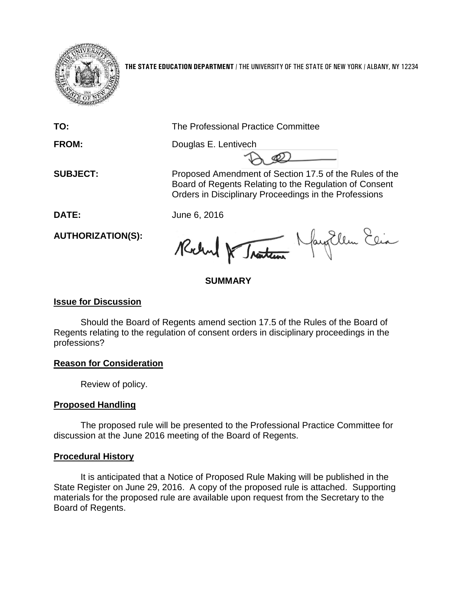

**THE STATE EDUCATION DEPARTMENT** / THE UNIVERSITY OF THE STATE OF NEW YORK / ALBANY, NY 12234

**TO:** The Professional Practice Committee

FROM: Douglas E. Lentivech

**SUBJECT:** Proposed Amendment of Section 17.5 of the Rules of the Board of Regents Relating to the Regulation of Consent Orders in Disciplinary Proceedings in the Professions

**DATE:** June 6, 2016

**AUTHORIZATION(S):**

Robert & Traction Navy Ellen Elia

# **SUMMARY**

## **Issue for Discussion**

Should the Board of Regents amend section 17.5 of the Rules of the Board of Regents relating to the regulation of consent orders in disciplinary proceedings in the professions?

### **Reason for Consideration**

Review of policy.

# **Proposed Handling**

The proposed rule will be presented to the Professional Practice Committee for discussion at the June 2016 meeting of the Board of Regents.

### **Procedural History**

It is anticipated that a Notice of Proposed Rule Making will be published in the State Register on June 29, 2016. A copy of the proposed rule is attached. Supporting materials for the proposed rule are available upon request from the Secretary to the Board of Regents.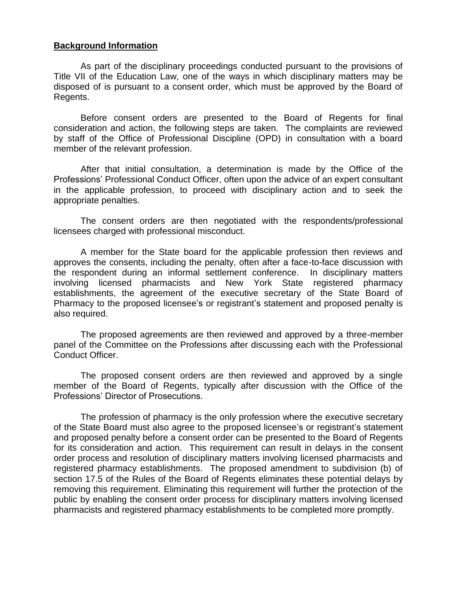#### **Background Information**

As part of the disciplinary proceedings conducted pursuant to the provisions of Title VII of the Education Law, one of the ways in which disciplinary matters may be disposed of is pursuant to a consent order, which must be approved by the Board of Regents.

Before consent orders are presented to the Board of Regents for final consideration and action, the following steps are taken. The complaints are reviewed by staff of the Office of Professional Discipline (OPD) in consultation with a board member of the relevant profession.

After that initial consultation, a determination is made by the Office of the Professions' Professional Conduct Officer, often upon the advice of an expert consultant in the applicable profession, to proceed with disciplinary action and to seek the appropriate penalties.

The consent orders are then negotiated with the respondents/professional licensees charged with professional misconduct.

A member for the State board for the applicable profession then reviews and approves the consents, including the penalty, often after a face-to-face discussion with the respondent during an informal settlement conference. In disciplinary matters involving licensed pharmacists and New York State registered pharmacy establishments, the agreement of the executive secretary of the State Board of Pharmacy to the proposed licensee's or registrant's statement and proposed penalty is also required.

The proposed agreements are then reviewed and approved by a three-member panel of the Committee on the Professions after discussing each with the Professional Conduct Officer.

The proposed consent orders are then reviewed and approved by a single member of the Board of Regents, typically after discussion with the Office of the Professions' Director of Prosecutions.

The profession of pharmacy is the only profession where the executive secretary of the State Board must also agree to the proposed licensee's or registrant's statement and proposed penalty before a consent order can be presented to the Board of Regents for its consideration and action. This requirement can result in delays in the consent order process and resolution of disciplinary matters involving licensed pharmacists and registered pharmacy establishments. The proposed amendment to subdivision (b) of section 17.5 of the Rules of the Board of Regents eliminates these potential delays by removing this requirement. Eliminating this requirement will further the protection of the public by enabling the consent order process for disciplinary matters involving licensed pharmacists and registered pharmacy establishments to be completed more promptly.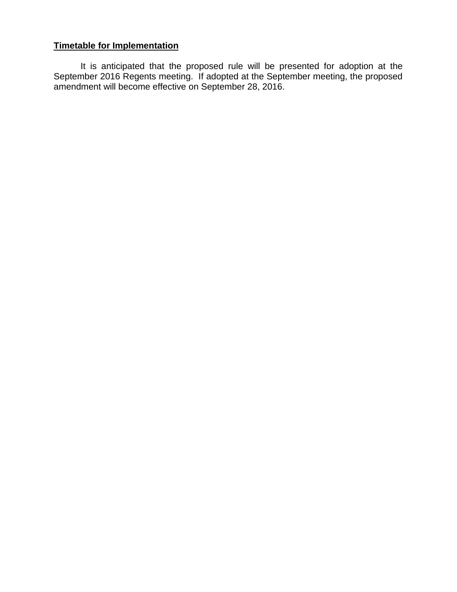#### **Timetable for Implementation**

It is anticipated that the proposed rule will be presented for adoption at the September 2016 Regents meeting. If adopted at the September meeting, the proposed amendment will become effective on September 28, 2016.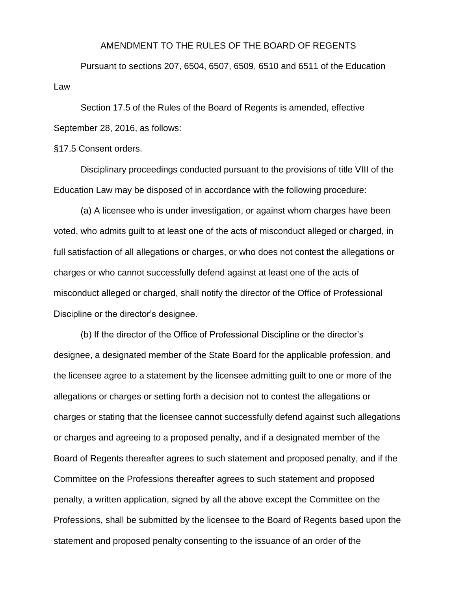#### AMENDMENT TO THE RULES OF THE BOARD OF REGENTS

Pursuant to sections 207, 6504, 6507, 6509, 6510 and 6511 of the Education Law

Section 17.5 of the Rules of the Board of Regents is amended, effective September 28, 2016, as follows:

§17.5 Consent orders.

Disciplinary proceedings conducted pursuant to the provisions of title VIII of the Education Law may be disposed of in accordance with the following procedure:

(a) A licensee who is under investigation, or against whom charges have been voted, who admits guilt to at least one of the acts of misconduct alleged or charged, in full satisfaction of all allegations or charges, or who does not contest the allegations or charges or who cannot successfully defend against at least one of the acts of misconduct alleged or charged, shall notify the director of the Office of Professional Discipline or the director's designee.

(b) If the director of the Office of Professional Discipline or the director's designee, a designated member of the State Board for the applicable profession, and the licensee agree to a statement by the licensee admitting guilt to one or more of the allegations or charges or setting forth a decision not to contest the allegations or charges or stating that the licensee cannot successfully defend against such allegations or charges and agreeing to a proposed penalty, and if a designated member of the Board of Regents thereafter agrees to such statement and proposed penalty, and if the Committee on the Professions thereafter agrees to such statement and proposed penalty, a written application, signed by all the above except the Committee on the Professions, shall be submitted by the licensee to the Board of Regents based upon the statement and proposed penalty consenting to the issuance of an order of the